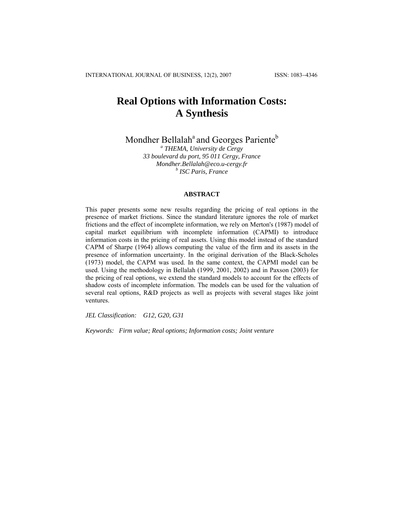# **Real Options with Information Costs: A Synthesis**

Mondher Bellalah<sup>a</sup> and Georges Pariente<sup>b</sup>

*a THEMA, University de Cergy 33 boulevard du port, 95 011 Cergy, France [Mondher.Bellalah@eco.u-cergy.fr](mailto:Mondher.Bellalah@eco.u-cergy.fr) <sup>b</sup> ISC Paris, France* 

#### **ABSTRACT**

This paper presents some new results regarding the pricing of real options in the presence of market frictions. Since the standard literature ignores the role of market frictions and the effect of incomplete information, we rely on Merton's (1987) model of capital market equilibrium with incomplete information (CAPMI) to introduce information costs in the pricing of real assets. Using this model instead of the standard CAPM of Sharpe (1964) allows computing the value of the firm and its assets in the presence of information uncertainty. In the original derivation of the Black-Scholes (1973) model, the CAPM was used. In the same context, the CAPMI model can be used. Using the methodology in Bellalah (1999, 2001, 2002) and in Paxson (2003) for the pricing of real options, we extend the standard models to account for the effects of shadow costs of incomplete information. The models can be used for the valuation of several real options, R&D projects as well as projects with several stages like joint ventures.

*JEL Classification: G12, G20, G31* 

*Keywords: Firm value; Real options; Information costs; Joint venture*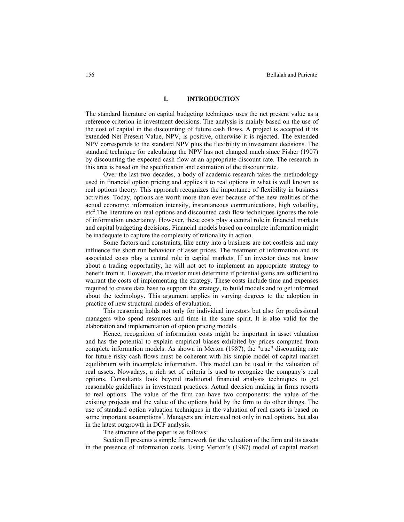## **I. INTRODUCTION**

The standard literature on capital budgeting techniques uses the net present value as a reference criterion in investment decisions. The analysis is mainly based on the use of the cost of capital in the discounting of future cash flows. A project is accepted if its extended Net Present Value, NPV, is positive, otherwise it is rejected. The extended NPV corresponds to the standard NPV plus the flexibility in investment decisions. The standard technique for calculating the NPV has not changed much since Fisher (1907) by discounting the expected cash flow at an appropriate discount rate. The research in this area is based on the specification and estimation of the discount rate.

Over the last two decades, a body of academic research takes the methodology used in financial option pricing and applies it to real options in what is well known as real options theory. This approach recognizes the importance of flexibility in business activities. Today, options are worth more than ever because of the new realities of the actual economy: information intensity, instantaneous communications, high volatility, etc<sup>2</sup>. The literature on real options and discounted cash flow techniques ignores the role of information uncertainty. However, these costs play a central role in financial markets and capital budgeting decisions. Financial models based on complete information might be inadequate to capture the complexity of rationality in action.

Some factors and constraints, like entry into a business are not costless and may influence the short run behaviour of asset prices. The treatment of information and its associated costs play a central role in capital markets. If an investor does not know about a trading opportunity, he will not act to implement an appropriate strategy to benefit from it. However, the investor must determine if potential gains are sufficient to warrant the costs of implementing the strategy. These costs include time and expenses required to create data base to support the strategy, to build models and to get informed about the technology. This argument applies in varying degrees to the adoption in practice of new structural models of evaluation.

This reasoning holds not only for individual investors but also for professional managers who spend resources and time in the same spirit. It is also valid for the elaboration and implementation of option pricing models.

Hence, recognition of information costs might be important in asset valuation and has the potential to explain empirical biases exhibited by prices computed from complete information models. As shown in Merton (1987), the "true" discounting rate for future risky cash flows must be coherent with his simple model of capital market equilibrium with incomplete information. This model can be used in the valuation of real assets. Nowadays, a rich set of criteria is used to recognize the company's real options. Consultants look beyond traditional financial analysis techniques to get reasonable guidelines in investment practices. Actual decision making in firms resorts to real options. The value of the firm can have two components: the value of the existing projects and the value of the options hold by the firm to do other things. The use of standard option valuation techniques in the valuation of real assets is based on some important assumptions<sup>3</sup>. Managers are interested not only in real options, but also in the latest outgrowth in DCF analysis.

The structure of the paper is as follows:

Section II presents a simple framework for the valuation of the firm and its assets in the presence of information costs. Using Merton's (1987) model of capital market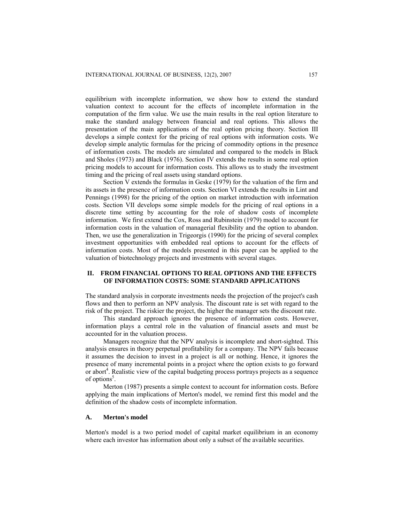equilibrium with incomplete information, we show how to extend the standard valuation context to account for the effects of incomplete information in the computation of the firm value. We use the main results in the real option literature to make the standard analogy between financial and real options. This allows the presentation of the main applications of the real option pricing theory. Section III develops a simple context for the pricing of real options with information costs. We develop simple analytic formulas for the pricing of commodity options in the presence of information costs. The models are simulated and compared to the models in Black and Sholes (1973) and Black (1976). Section IV extends the results in some real option pricing models to account for information costs. This allows us to study the investment timing and the pricing of real assets using standard options.

Section V extends the formulas in Geske (1979) for the valuation of the firm and its assets in the presence of information costs. Section VI extends the results in Lint and Pennings (1998) for the pricing of the option on market introduction with information costs. Section VII develops some simple models for the pricing of real options in a discrete time setting by accounting for the role of shadow costs of incomplete information. We first extend the Cox, Ross and Rubinstein (1979) model to account for information costs in the valuation of managerial flexibility and the option to abandon. Then, we use the generalization in Trigeorgis (1990) for the pricing of several complex investment opportunities with embedded real options to account for the effects of information costs. Most of the models presented in this paper can be applied to the valuation of biotechnology projects and investments with several stages.

#### **II. FROM FINANCIAL OPTIONS TO REAL OPTIONS AND THE EFFECTS OF INFORMATION COSTS: SOME STANDARD APPLICATIONS**

The standard analysis in corporate investments needs the projection of the project's cash flows and then to perform an NPV analysis. The discount rate is set with regard to the risk of the project. The riskier the project, the higher the manager sets the discount rate.

This standard approach ignores the presence of information costs. However, information plays a central role in the valuation of financial assets and must be accounted for in the valuation process.

Managers recognize that the NPV analysis is incomplete and short-sighted. This analysis ensures in theory perpetual profitability for a company. The NPV fails because it assumes the decision to invest in a project is all or nothing. Hence, it ignores the presence of many incremental points in a project where the option exists to go forward or abort<sup>4</sup>. Realistic view of the capital budgeting process portrays projects as a sequence of options<sup>5</sup>.

Merton (1987) presents a simple context to account for information costs. Before applying the main implications of Merton's model, we remind first this model and the definition of the shadow costs of incomplete information.

## **A. Merton's model**

Merton's model is a two period model of capital market equilibrium in an economy where each investor has information about only a subset of the available securities.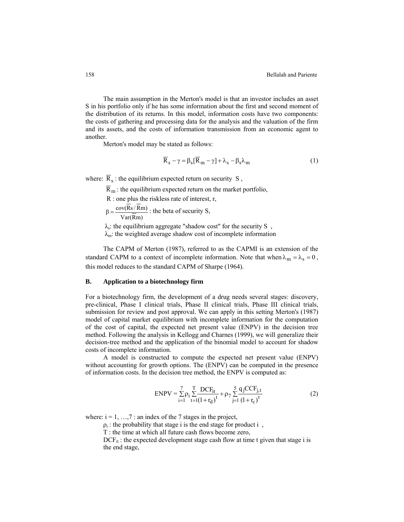The main assumption in the Merton's model is that an investor includes an asset S in his portfolio only if he has some information about the first and second moment of the distribution of its returns. In this model, information costs have two components: the costs of gathering and processing data for the analysis and the valuation of the firm and its assets, and the costs of information transmission from an economic agent to another.

Merton's model may be stated as follows:

$$
\overline{R}_s - \gamma = \beta_s [\overline{R}_m - \gamma] + \lambda_s - \beta_s \lambda_m \tag{1}
$$

where:  $\overline{R}_s$ : the equilibrium expected return on security S,

 $\overline{R}_m$ : the equilibrium expected return on the market portfolio,

R : one plus the riskless rate of interest, r,

 $Var(Rm)$  $\beta = \frac{\text{cov}(Rs/Rm)}{R}$ : the beta of security S,

 $\lambda_s$ : the equilibrium aggregate "shadow cost" for the security S,

 $\lambda_{\rm m}$ : the weighted average shadow cost of incomplete information

The CAPM of Merton (1987), referred to as the CAPMI is an extension of the standard CAPM to a context of incomplete information. Note that when  $\lambda_m = \lambda_s = 0$ , this model reduces to the standard CAPM of Sharpe (1964).

#### **B. Application to a biotechnology firm**

For a biotechnology firm, the development of a drug needs several stages: discovery, pre-clinical, Phase I clinical trials, Phase II clinical trials, Phase III clinical trials, submission for review and post approval. We can apply in this setting Merton's (1987) model of capital market equilibrium with incomplete information for the computation of the cost of capital, the expected net present value (ENPV) in the decision tree method. Following the analysis in Kellogg and Charnes (1999), we will generalize their decision-tree method and the application of the binomial model to account for shadow costs of incomplete information.

A model is constructed to compute the expected net present value (ENPV) without accounting for growth options. The (ENPV) can be computed in the presence of information costs. In the decision tree method, the ENPV is computed as:

$$
ENPV = \sum_{i=1}^{7} \rho_i \sum_{t=1}^{T} \frac{DCF_{it}}{(1+r_d)^t} + \rho_7 \sum_{j=1}^{5} \frac{q_jCCF_{j,t}}{(1+r_c)^t}
$$
(2)

where:  $i = 1, \ldots, 7$ : an index of the 7 stages in the project,

 $\rho_i$ : the probability that stage i is the end stage for product i.

T : the time at which all future cash flows become zero,

 $DCF_{it}$ : the expected development stage cash flow at time t given that stage i is the end stage,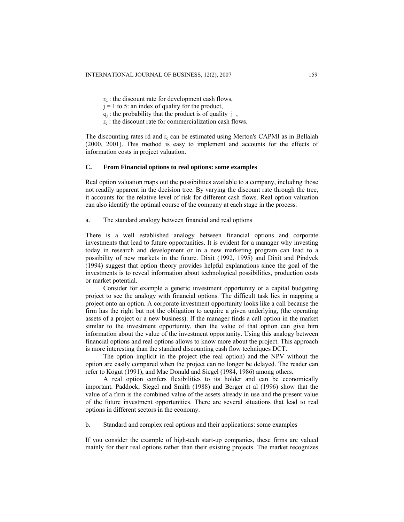- $r_d$ : the discount rate for development cash flows,
- $j = 1$  to 5: an index of quality for the product,
- $q_i$ : the probability that the product is of quality j,
- $r_c$ : the discount rate for commercialization cash flows.

The discounting rates rd and  $r_c$  can be estimated using Merton's CAPMI as in Bellalah (2000, 2001). This method is easy to implement and accounts for the effects of information costs in project valuation.

# **C. From Financial options to real options: some examples**

Real option valuation maps out the possibilities available to a company, including those not readily apparent in the decision tree. By varying the discount rate through the tree, it accounts for the relative level of risk for different cash flows. Real option valuation can also identify the optimal course of the company at each stage in the process.

a. The standard analogy between financial and real options

There is a well established analogy between financial options and corporate investments that lead to future opportunities. It is evident for a manager why investing today in research and development or in a new marketing program can lead to a possibility of new markets in the future. Dixit (1992, 1995) and Dixit and Pindyck (1994) suggest that option theory provides helpful explanations since the goal of the investments is to reveal information about technological possibilities, production costs or market potential.

Consider for example a generic investment opportunity or a capital budgeting project to see the analogy with financial options. The difficult task lies in mapping a project onto an option. A corporate investment opportunity looks like a call because the firm has the right but not the obligation to acquire a given underlying, (the operating assets of a project or a new business). If the manager finds a call option in the market similar to the investment opportunity, then the value of that option can give him information about the value of the investment opportunity. Using this analogy between financial options and real options allows to know more about the project. This approach is more interesting than the standard discounting cash flow techniques DCT.

The option implicit in the project (the real option) and the NPV without the option are easily compared when the project can no longer be delayed. The reader can refer to Kogut (1991), and Mac Donald and Siegel (1984, 1986) among others.

A real option confers flexibilities to its holder and can be economically important. Paddock, Siegel and Smith (1988) and Berger et al (1996) show that the value of a firm is the combined value of the assets already in use and the present value of the future investment opportunities. There are several situations that lead to real options in different sectors in the economy.

b. Standard and complex real options and their applications: some examples

If you consider the example of high-tech start-up companies, these firms are valued mainly for their real options rather than their existing projects. The market recognizes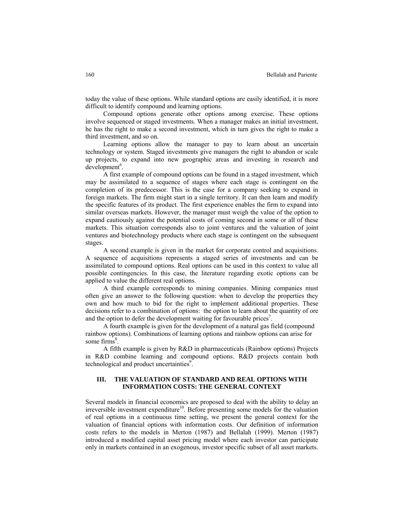today the value of these options. While standard options are easily identified, it is more difficult to identify compound and learning options.

Compound options generate other options among exercise. These options involve sequenced or staged investments. When a manager makes an initial investment, he has the right to make a second investment, which in turn gives the right to make a third investment, and so on.

Learning options allow the manager to pay to learn about an uncertain technology or system. Staged investments give managers the right to abandon or scale up projects, to expand into new geographic areas and investing in research and  $development<sup>6</sup>$ .

A first example of compound options can be found in a staged investment, which may be assimilated to a sequence of stages where each stage is contingent on the completion of its predecessor. This is the case for a company seeking to expand in foreign markets. The firm might start in a single territory. It can then learn and modify the specific features of its product. The first experience enables the firm to expand into similar overseas markets. However, the manager must weigh the value of the option to expand cautiously against the potential costs of coming second in some or all of these markets. This situation corresponds also to joint ventures and the valuation of joint ventures and biotechnology products where each stage is contingent on the subsequent stages.

A second example is given in the market for corporate control and acquisitions. A sequence of acquisitions represents a staged series of investments and can be assimilated to compound options. Real options can be used in this context to value all possible contingencies. In this case, the literature regarding exotic options can be applied to value the different real options.

A third example corresponds to mining companies. Mining companies must often give an answer to the following question: when to develop the properties they own and how much to bid for the right to implement additional properties. These decisions refer to a combination of options: the option to learn about the quantity of ore and the option to defer the development waiting for favourable prices<sup>7</sup>.

A fourth example is given for the development of a natural gas field (compound rainbow options). Combinations of learning options and rainbow options can arise for some firms<sup>8</sup>.

A fifth example is given by R&D in pharmaceuticals (Rainbow options) Projects in R&D combine learning and compound options. R&D projects contain both technological and product uncertainties<sup>9</sup>.

# **III. THE VALUATION OF STANDARD AND REAL OPTIONS WITH INFORMATION COSTS: THE GENERAL CONTEXT**

Several models in financial economics are proposed to deal with the ability to delay an irreversible investment expenditure<sup>10</sup>. Before presenting some models for the valuation of real options in a continuous time setting, we present the general context for the valuation of financial options with information costs. Our definition of information costs refers to the models in Merton (1987) and Bellalah (1999). Merton (1987) introduced a modified capital asset pricing model where each investor can participate only in markets contained in an exogenous, investor specific subset of all asset markets.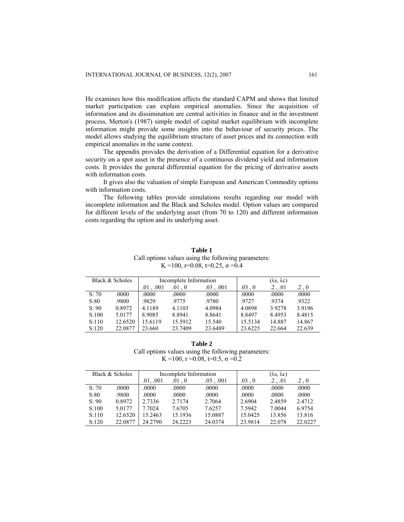He examines how this modification affects the standard CAPM and shows that limited market participation can explain empirical anomalies. Since the acquisition of information and its dissimination are central activities in finance and in the investment process, Merton's (1987) simple model of capital market equilibrium with incomplete information might provide some insights into the behaviour of security prices. The model allows studying the equilibrium structure of asset prices and its connection with empirical anomalies in the same context.

The appendix provides the derivation of a Differential equation for a derivative security on a spot asset in the presence of a continuous dividend yield and information costs. It provides the general differential equation for the pricing of derivative assets with information costs.

It gives also the valuation of simple European and American Commodity options with information costs.

The following tables provide simulations results regarding our model with incomplete information and the Black and Scholes model. Option values are compared for different levels of the underlying asset (from 70 to 120) and different information costs regarding the option and its underlying asset.

|       | Black & Scholes |           | Incomplete Information |                |               | $(\lambda s, \lambda c)$ |        |
|-------|-----------------|-----------|------------------------|----------------|---------------|--------------------------|--------|
|       |                 | $.01$ 001 | .01, 0                 | $.03$ . $.001$ | $.03 \cdot 0$ | $.2$ . 01                | .2, 0  |
| S: 70 | .0000           | .0000     | .0000                  | .0000          | .0000         | .0000                    | .0000  |
| S:80  | .9800           | .9829     | .9775                  | .9780          | .9727         | .9374                    | .9322  |
| S: 90 | 0.8972          | 4.1189    | 4.1103                 | 4.0984         | 4.0898        | 3.9278                   | 3.9196 |
| S:100 | 5.0177          | 8.9085    | 8.8941                 | 8.8641         | 8.8497        | 8.4953                   | 8.4815 |
| S:110 | 12.6520         | 15.6119   | 15.5912                | 15.540         | 15.5134       | 14.887                   | 14.867 |
| S:120 | 22.0877         | 23.660    | 23.7409                | 23.6489        | 23.6225       | 22.664                   | 22.639 |

**Table 1**  Call options values using the following parameters: K =100, r=0.08, t=0.25,  $\sigma$ =0.4

|  | Table 2 |  |  |
|--|---------|--|--|
|  |         |  |  |

Call options values using the following parameters: K =100, r =0.08, t=0.5,  $\sigma$  =0.2

|       | Black & Scholes |           | Incomplete Information |                |         | $(\lambda s, \lambda c)$ |         |
|-------|-----------------|-----------|------------------------|----------------|---------|--------------------------|---------|
|       |                 | .01, .001 | $.01$ , 0              | $.03$ . $.001$ | .03.0   | $.2$ . $.01$             | .2, 0   |
| S: 70 | .0000           | .0000     | .0000                  | .0000          | .0000   | .0000                    | .0000   |
| S:80  | .9800           | .0000     | .0000                  | .0000          | .0000   | .0000                    | .0000   |
| S: 90 | 0.8972          | 2.7336    | 2.7174                 | 2.7064         | 2.6904  | 2.4859                   | 2.4712  |
| S:100 | 5.0177          | 7.7024    | 7.6705                 | 7.6257         | 7.5942  | 7.0044                   | 6.9754  |
| S:110 | 12.6520         | 15.2463   | 15.1936                | 15.0887        | 15.0425 | 13.856                   | 13.816  |
| S:120 | 22.0877         | 24.2790   | 24.2223                | 24.0374        | 23.9814 | 22.078                   | 22.0227 |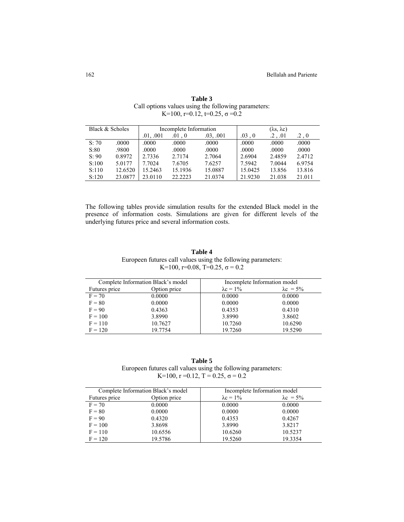| Black & Scholes |         | Incomplete Information |           | $(\lambda s, \lambda c)$ |         |           |        |
|-----------------|---------|------------------------|-----------|--------------------------|---------|-----------|--------|
|                 |         | .01, .001              | $.01$ , 0 | .03, .001                | .03.0   | $.2$ . 01 | .2, 0  |
| S: 70           | .0000   | .0000                  | .0000     | .0000                    | .0000   | .0000     | .0000  |
| S:80            | .9800   | .0000                  | .0000     | .0000                    | .0000   | .0000     | .0000  |
| S: 90           | 0.8972  | 2.7336                 | 2.7174    | 2.7064                   | 2.6904  | 2.4859    | 2.4712 |
| S:100           | 5.0177  | 7.7024                 | 7.6705    | 7.6257                   | 7.5942  | 7.0044    | 6.9754 |
| S:110           | 12.6520 | 15.2463                | 15.1936   | 15.0887                  | 15.0425 | 13.856    | 13.816 |
| S:120           | 23.0877 | 23.0110                | 22.2223   | 21.0374                  | 21.9230 | 21.038    | 21.011 |

**Table 3**  Call options values using the following parameters: K=100, r=0.12, t=0.25,  $\sigma$ =0.2

The following tables provide simulation results for the extended Black model in the presence of information costs. Simulations are given for different levels of the underlying futures price and several information costs.

**Table 4**  Europeen futures call values using the following parameters: K=100, r=0.08, T=0.25,  $\sigma$  = 0.2

|               | Complete Information Black's model | Incomplete Information model |                   |
|---------------|------------------------------------|------------------------------|-------------------|
| Futures price | Option price                       | $\lambda c = 1\%$            | $\lambda c = 5\%$ |
| $F = 70$      | 0.0000                             | 0.0000                       | 0.0000            |
| $F = 80$      | 0.0000                             | 0.0000                       | 0.0000            |
| $F = 90$      | 0.4363                             | 0.4353                       | 0.4310            |
| $F = 100$     | 3.8990                             | 3.8990                       | 3.8602            |
| $F = 110$     | 10.7627                            | 10.7260                      | 10.6290           |
| $F = 120$     | 19.7754                            | 19.7260                      | 19.5290           |

**Table 5** 

Europeen futures call values using the following parameters: K=100, r = 0.12, T = 0.25,  $\sigma$  = 0.2

|               | Complete Information Black's model | Incomplete Information model |                   |  |
|---------------|------------------------------------|------------------------------|-------------------|--|
| Futures price | Option price                       | $\lambda c = 1\%$            | $\lambda c = 5\%$ |  |
| $F = 70$      | 0.0000                             | 0.0000                       | 0.0000            |  |
| $F = 80$      | 0.0000                             | 0.0000                       | 0.0000            |  |
| $F = 90$      | 0.4320                             | 0.4353                       | 0.4267            |  |
| $F = 100$     | 3.8698                             | 3.8990                       | 3.8217            |  |
| $F = 110$     | 10.6556                            | 10.6260                      | 10.5237           |  |
| $F = 120$     | 19.5786                            | 19.5260                      | 19.3354           |  |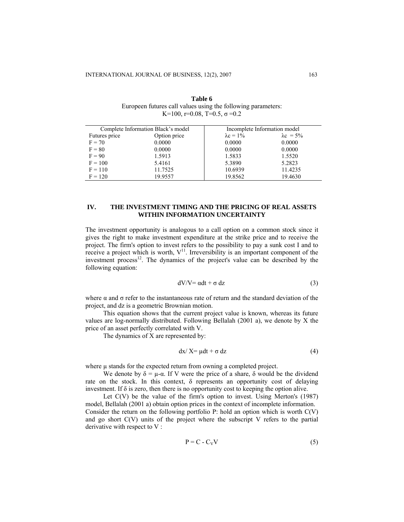|               | Complete Information Black's model | Incomplete Information model |                   |
|---------------|------------------------------------|------------------------------|-------------------|
| Futures price | Option price                       | $\lambda c = 1\%$            | $\lambda c = 5\%$ |
| $F = 70$      | 0.0000                             | 0.0000                       | 0.0000            |
| $F = 80$      | 0.0000                             | 0.0000                       | 0.0000            |
| $F = 90$      | 1.5913                             | 1.5833                       | 1.5520            |
| $F = 100$     | 5.4161                             | 5.3890                       | 5.2823            |
| $F = 110$     | 11.7525                            | 10.6939                      | 11.4235           |
| $F = 120$     | 19.9557                            | 19.8562                      | 19.4630           |

**Table 6**  Europeen futures call values using the following parameters: K=100, r=0.08, T=0.5,  $\sigma$ =0.2

# **IV. THE INVESTMENT TIMING AND THE PRICING OF REAL ASSETS WITHIN INFORMATION UNCERTAINTY**

The investment opportunity is analogous to a call option on a common stock since it gives the right to make investment expenditure at the strike price and to receive the project. The firm's option to invest refers to the possibility to pay a sunk cost I and to receive a project which is worth,  $V^{11}$ . Irreversibility is an important component of the investment process $12$ . The dynamics of the project's value can be described by the following equation:

$$
dV/V = \alpha dt + \sigma dz \tag{3}
$$

where  $\alpha$  and  $\sigma$  refer to the instantaneous rate of return and the standard deviation of the project, and dz is a geometric Brownian motion.

This equation shows that the current project value is known, whereas its future values are log-normally distributed. Following Bellalah (2001 a), we denote by X the price of an asset perfectly correlated with V.

The dynamics of X are represented by:

$$
dx / X = \mu dt + \sigma dz \tag{4}
$$

where  $\mu$  stands for the expected return from owning a completed project.

We denote by  $\delta = \mu - \alpha$ . If V were the price of a share,  $\delta$  would be the dividend rate on the stock. In this context,  $\delta$  represents an opportunity cost of delaying investment. If  $\delta$  is zero, then there is no opportunity cost to keeping the option alive.

Let C(V) be the value of the firm's option to invest. Using Merton's (1987) model, Bellalah (2001 a) obtain option prices in the context of incomplete information. Consider the return on the following portfolio P: hold an option which is worth  $C(V)$ and go short  $C(V)$  units of the project where the subscript V refers to the partial derivative with respect to V :

$$
P = C - C_V V \tag{5}
$$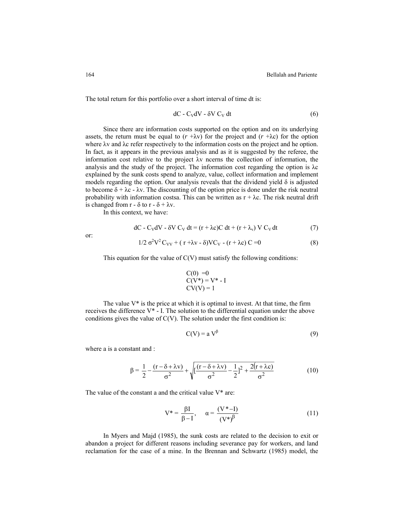The total return for this portfolio over a short interval of time dt is:

$$
dC - C_V dV - \delta V C_V dt \tag{6}
$$

Since there are information costs supported on the option and on its underlying assets, the return must be equal to  $(r + \lambda v)$  for the project and  $(r + \lambda c)$  for the option where  $\lambda v$  and  $\lambda c$  refer respectively to the information costs on the project and he option. In fact, as it appears in the previous analysis and as it is suggested by the referee, the information cost relative to the project λv ncerns the collection of information, the analysis and the study of the project. The information cost regarding the option is  $\lambda c$ explained by the sunk costs spend to analyze, value, collect information and implement models regarding the option. Our analysis reveals that the dividend yield  $\delta$  is adjusted to become  $\delta + \lambda c - \lambda v$ . The discounting of the option price is done under the risk neutral probability with information costsa. This can be written as  $r + \lambda c$ . The risk neutral drift is changed from  $r - \delta$  to  $r - \delta + \lambda v$ .

In this context, we have:

$$
dC - C_V dV - \delta V C_V dt = (r + \lambda c)C dt + (r + \lambda_v) V C_V dt \tag{7}
$$

or:

$$
1/2 \sigma^2 V^2 C_{VV} + (r + \lambda v - \delta) V C_V - (r + \lambda c) C = 0
$$
 (8)

This equation for the value of  $C(V)$  must satisfy the following conditions:

$$
C(0) = 0
$$
  
 
$$
C(V^*) = V^* - I
$$
  
 
$$
CV(V) = 1
$$

The value  $V^*$  is the price at which it is optimal to invest. At that time, the firm receives the difference V\* - I. The solution to the differential equation under the above conditions gives the value of  $C(V)$ . The solution under the first condition is:

$$
C(V) = a V^{\beta} \tag{9}
$$

where a is a constant and :

$$
\beta = \frac{1}{2} - \frac{(r - \delta + \lambda v)}{\sigma^2} + \sqrt{\left[\frac{(r - \delta + \lambda v)}{\sigma^2} - \frac{1}{2}\right]^2 + \frac{2(r + \lambda c)}{\sigma^2}}
$$
(10)

The value of the constant a and the critical value  $V^*$  are:

$$
V^* = \frac{\beta I}{\beta - 1}, \qquad \alpha = \frac{(V^* - I)}{(V^*)^\beta} \tag{11}
$$

In Myers and Majd (1985), the sunk costs are related to the decision to exit or abandon a project for different reasons including severance pay for workers, and land reclamation for the case of a mine. In the Brennan and Schwartz (1985) model, the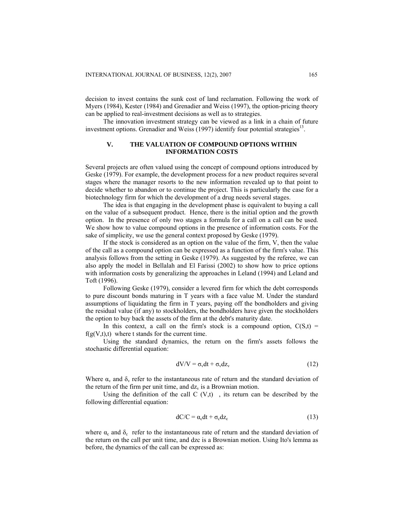decision to invest contains the sunk cost of land reclamation. Following the work of Myers (1984), Kester (1984) and Grenadier and Weiss (1997), the option-pricing theory can be applied to real-investment decisions as well as to strategies.

The innovation investment strategy can be viewed as a link in a chain of future investment options. Grenadier and Weiss  $(1997)$  identify four potential strategies<sup>13</sup>.

# **V. THE VALUATION OF COMPOUND OPTIONS WITHIN INFORMATION COSTS**

Several projects are often valued using the concept of compound options introduced by Geske (1979). For example, the development process for a new product requires several stages where the manager resorts to the new information revealed up to that point to decide whether to abandon or to continue the project. This is particularly the case for a biotechnology firm for which the development of a drug needs several stages.

The idea is that engaging in the development phase is equivalent to buying a call on the value of a subsequent product. Hence, there is the initial option and the growth option. In the presence of only two stages a formula for a call on a call can be used. We show how to value compound options in the presence of information costs. For the sake of simplicity, we use the general context proposed by Geske (1979).

If the stock is considered as an option on the value of the firm, V, then the value of the call as a compound option can be expressed as a function of the firm's value. This analysis follows from the setting in Geske (1979). As suggested by the referee, we can also apply the model in Bellalah and El Farissi (2002) to show how to price options with information costs by generalizing the approaches in Leland (1994) and Leland and Toft (1996).

Following Geske (1979), consider a levered firm for which the debt corresponds to pure discount bonds maturing in T years with a face value M. Under the standard assumptions of liquidating the firm in T years, paying off the bondholders and giving the residual value (if any) to stockholders, the bondholders have given the stockholders the option to buy back the assets of the firm at the debt's maturity date.

In this context, a call on the firm's stock is a compound option,  $C(S,t)$  =  $f(g(V,t),t)$  where t stands for the current time.

Using the standard dynamics, the return on the firm's assets follows the stochastic differential equation:

$$
dV/V = \sigma_v dt + \sigma_v dz_v
$$
 (12)

Where  $\alpha_{\rm v}$  and  $\delta_{\rm v}$  refer to the instantaneous rate of return and the standard deviation of the return of the firm per unit time, and  $dz<sub>v</sub>$  is a Brownian motion.

Using the definition of the call  $C(V,t)$ , its return can be described by the following differential equation:

$$
dC/C = \alpha_c dt + \sigma_c dz_c \tag{13}
$$

where  $\alpha_c$  and  $\delta_c$  refer to the instantaneous rate of return and the standard deviation of the return on the call per unit time, and dzc is a Brownian motion. Using Ito's lemma as before, the dynamics of the call can be expressed as: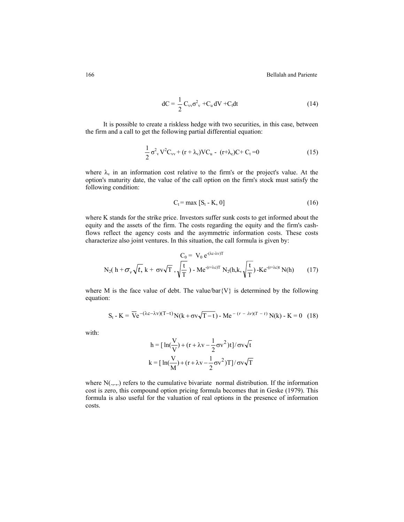166 Bellalah and Pariente

$$
dC = \frac{1}{2} C_{vv} \sigma_v^2 + C_u dV + C_t dt
$$
 (14)

It is possible to create a riskless hedge with two securities, in this case, between the firm and a call to get the following partial differential equation:

$$
\frac{1}{2} \sigma_{v}^{2} V^{2} C_{vv} + (r + \lambda_{v}) V C_{u} - (r + \lambda_{c}) C + C_{t} = 0
$$
\n(15)

where  $\lambda$ <sub>v</sub> in an information cost relative to the firm's or the project's value. At the option's maturity date, the value of the call option on the firm's stock must satisfy the following condition:

$$
C_t = \max [S_t - K, 0] \tag{16}
$$

where K stands for the strike price. Investors suffer sunk costs to get informed about the equity and the assets of the firm. The costs regarding the equity and the firm's cashflows reflect the agency costs and the asymmetric information costs. These costs characterize also joint ventures. In this situation, the call formula is given by:

$$
C_0 = V_0 e^{-(\lambda c - \lambda v)T}
$$
  
N<sub>2</sub>(h +  $\sigma_v \sqrt{t}$ , k +  $\sigma v \sqrt{T}$ ,  $\sqrt{\frac{t}{T}}$ ) - Me<sup>-(r+\lambda c)T</sup> N<sub>2</sub>(h,k,  $\sqrt{\frac{t}{T}}$ ) - Ke<sup>-(r+\lambda c)t</sup> N(h) (17)

where M is the face value of debt. The value/bar $\{V\}$  is determined by the following equation:

$$
S_t - K = \overline{V}e^{-(\lambda c - \lambda v)(T - t)}N(k + \sigma v\sqrt{T - t}) - Me^{-(r - \lambda v)(T - t)}N(k) - K = 0
$$
 (18)

with:

$$
h = [\ln(\frac{V}{V}) + (r + \lambda v - \frac{1}{2}\sigma v^2)t]/\sigma v\sqrt{t}
$$

$$
k = [\ln(\frac{V}{M}) + (r + \lambda v - \frac{1}{2}\sigma v^2)T]/\sigma v\sqrt{T}
$$

where  $N(.,.,.)$  refers to the cumulative bivariate normal distribution. If the information cost is zero, this compound option pricing formula becomes that in Geske (1979). This formula is also useful for the valuation of real options in the presence of information costs.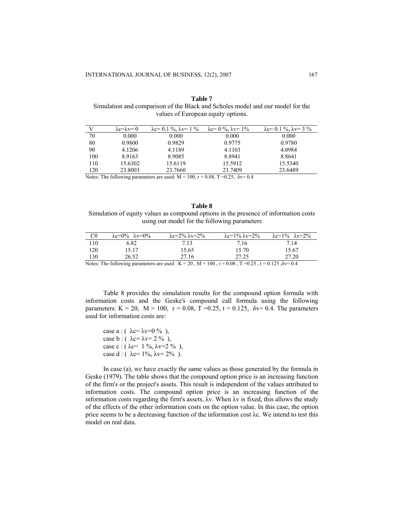| Table 7                                                                        |
|--------------------------------------------------------------------------------|
| Simulation and comparison of the Black and Scholes model and our model for the |
| values of European equity options.                                             |

|     | $\lambda c = \lambda v = 0$ | $\lambda c = 0.1 \%$ , $\lambda v = 1 \%$ | $\lambda c = 0 \%$ , $\lambda v = 1 \%$ | $\lambda c = 0.1 \%$ , $\lambda v = 3 \%$ |
|-----|-----------------------------|-------------------------------------------|-----------------------------------------|-------------------------------------------|
| 70  | 0.000                       | 0.000                                     | 0.000                                   | 0.000                                     |
| 80  | 0.9800                      | 0.9829                                    | 0.9775                                  | 0.9780                                    |
| 90  | 4.1206                      | 4.1189                                    | 4.1103                                  | 4.0984                                    |
| 100 | 8.9163                      | 8.9085                                    | 8.8941                                  | 8.8641                                    |
| 110 | 15.6302                     | 15.6119                                   | 15.5912                                 | 15.5340                                   |
| 120 | 23.8003                     | 23.7660                                   | 23.7409                                 | 23.6489                                   |

Notes: The following parameters are used:  $M = 100$ ,  $r = 0.08$ ,  $T = 0.25$ ,  $\delta v = 0.4$ 

**Table 8**  Simulation of equity values as compound options in the presence of information costs using our model for the following parameters

| $_{\rm C0}$  | $\lambda c = 0\%$ $\lambda v = 0\%$ | $\lambda c = 2\% \lambda v = 2\%$ | $\lambda c = 1\% \lambda v = 2\%$ | $\lambda c = 1\%$ $\lambda v = 2\%$ |
|--------------|-------------------------------------|-----------------------------------|-----------------------------------|-------------------------------------|
| 110          | 6.82                                | 7.13                              | 7.16                              | 7.14                                |
| 120          | 15.17                               | 15.65                             | 15.70                             | 15.67                               |
| 130          | 26.52                               | 27.16                             | 27.25                             | 27.20                               |
| $\mathbf{v}$ | TH C 11                             | $1 T$ $100$                       | $0.00 \times 0.05$ $0.105$ $0.4$  |                                     |

Notes: The following parameters are used : K = 20, M = 100, r = 0.08, T =  $0.25$ , t =  $0.125$ ,  $\delta v = 0.4$ 

Table 8 provides the simulation results for the compound option formula with information costs and the Geske's compound call formula using the following parameters:  $K = 20$ ,  $M = 100$ ,  $r = 0.08$ ,  $T = 0.25$ ,  $t = 0.125$ ,  $\delta v = 0.4$ . The parameters used for information costs are:

case a : ( $\lambda$ c= $\lambda$ v=0 %), case b : ( $\lambda$ c= $\lambda$ v= $2\%$ ), case c : ( $\lambda$ c= 1 %,  $\lambda$ v=2 %), case d : ( $\lambda$ c= 1%,  $\lambda$ v= 2%).

In case (a), we have exactly the same values as those generated by the formula in Geske (1979). The table shows that the compound option price is an increasing function of the firm's or the project's assets. This result is independent of the values attributed to information costs. The compound option price is an increasing function of the information costs regarding the firm's assets,  $\lambda v$ . When  $\lambda v$  is fixed, this allows the study of the effects of the other information costs on the option value. In this case, the option price seems to be a decreasing function of the information cost λc. We intend to test this model on real data.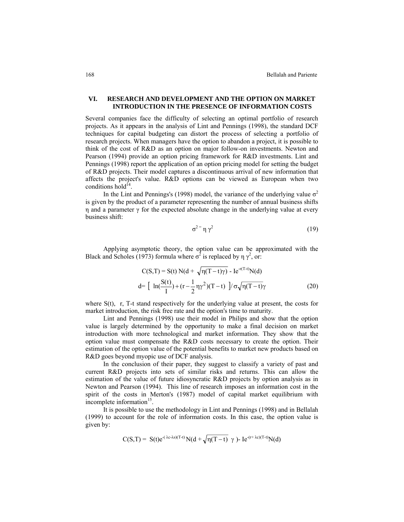## **VI. RESEARCH AND DEVELOPMENT AND THE OPTION ON MARKET INTRODUCTION IN THE PRESENCE OF INFORMATION COSTS**

Several companies face the difficulty of selecting an optimal portfolio of research projects. As it appears in the analysis of Lint and Pennings (1998), the standard DCF techniques for capital budgeting can distort the process of selecting a portfolio of research projects. When managers have the option to abandon a project, it is possible to think of the cost of R&D as an option on major follow-on investments. Newton and Pearson (1994) provide an option pricing framework for R&D investments. Lint and Pennings (1998) report the application of an option pricing model for setting the budget of R&D projects. Their model captures a discontinuous arrival of new information that affects the project's value. R&D options can be viewed as European when two conditions hold $^{14}$ .

In the Lint and Pennings's (1998) model, the variance of the underlying value  $\sigma^2$ is given by the product of a parameter representing the number of annual business shifts η and a parameter γ for the expected absolute change in the underlying value at every business shift:

$$
\sigma^{2} = \eta \gamma^2 \tag{19}
$$

Applying asymptotic theory, the option value can be approximated with the Black and Scholes (1973) formula where  $\sigma^2$  is replaced by  $\eta \gamma^2$ , or:

$$
C(S,T) = S(t) N(d + \sqrt{\eta(T-t)\gamma}) - I e^{-r(T-t)} N(d)
$$
  

$$
d = \left[ \ln\left(\frac{S(t)}{I}\right) + (r - \frac{1}{2}\eta\gamma^2)(T-t) \right] / \sigma \sqrt{\eta(T-t)} \gamma
$$
 (20)

where S(t), r, T-t stand respectively for the underlying value at present, the costs for market introduction, the risk free rate and the option's time to maturity.

Lint and Pennings (1998) use their model in Philips and show that the option value is largely determined by the opportunity to make a final decision on market introduction with more technological and market information. They show that the option value must compensate the R&D costs necessary to create the option. Their estimation of the option value of the potential benefits to market new products based on R&D goes beyond myopic use of DCF analysis.

In the conclusion of their paper, they suggest to classify a variety of past and current R&D projects into sets of similar risks and returns. This can allow the estimation of the value of future idiosyncratic R&D projects by option analysis as in Newton and Pearson (1994). This line of research imposes an information cost in the spirit of the costs in Merton's (1987) model of capital market equilibrium with incomplete information $15$ .

It is possible to use the methodology in Lint and Pennings (1998) and in Bellalah (1999) to account for the role of information costs. In this case, the option value is given by:

$$
C(S,T) = S(t)e^{-(\lambda c \cdot \lambda s)(T-t)}N(d+\sqrt{\eta(T-t)} \gamma) - I e^{-(r+\lambda c)(T-t)}N(d)
$$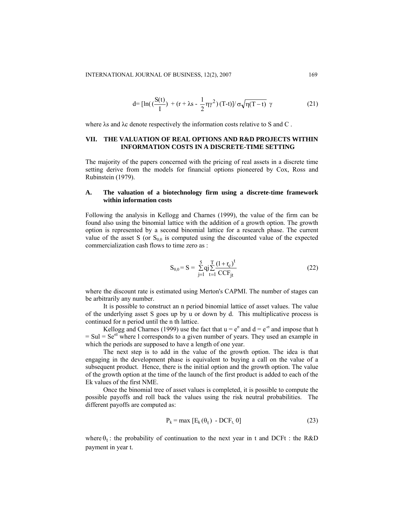$$
d = \left[\ln\left(\frac{S(t)}{I}\right) + \left(r + \lambda s - \frac{1}{2}\eta \gamma^2\right)(T-t)\right] / \sigma \sqrt{\eta(T-t)} \gamma \tag{21}
$$

where λs and λc denote respectively the information costs relative to S and C .

## **VII. THE VALUATION OF REAL OPTIONS AND R&D PROJECTS WITHIN INFORMATION COSTS IN A DISCRETE-TIME SETTING**

The majority of the papers concerned with the pricing of real assets in a discrete time setting derive from the models for financial options pioneered by Cox, Ross and Rubinstein (1979).

## **A. The valuation of a biotechnology firm using a discrete-time framework within information costs**

Following the analysis in Kellogg and Charnes (1999), the value of the firm can be found also using the binomial lattice with the addition of a growth option. The growth option is represented by a second binomial lattice for a research phase. The current value of the asset S (or  $S_{0,0}$  is computed using the discounted value of the expected commercialization cash flows to time zero as :

$$
S_{0,0} = S = \sum_{j=1}^{5} qj \sum_{t=1}^{T} \frac{(1+r_c)^t}{CCF_{jt}}
$$
(22)

where the discount rate is estimated using Merton's CAPMI. The number of stages can be arbitrarily any number.

It is possible to construct an n period binomial lattice of asset values. The value of the underlying asset S goes up by u or down by d. This multiplicative process is continued for n period until the n th lattice.

Kellogg and Charnes (1999) use the fact that  $u = e^{\sigma}$  and  $d = e^{-\sigma}$  and impose that h  $=$  Sul  $=$  Se<sup> $\sigma$ l</sup> where l corresponds to a given number of years. They used an example in which the periods are supposed to have a length of one year.

The next step is to add in the value of the growth option. The idea is that engaging in the development phase is equivalent to buying a call on the value of a subsequent product. Hence, there is the initial option and the growth option. The value of the growth option at the time of the launch of the first product is added to each of the Ek values of the first NME.

Once the binomial tree of asset values is completed, it is possible to compute the possible payoffs and roll back the values using the risk neutral probabilities. The different payoffs are computed as:

$$
P_k = \max [E_k(\theta_t) - DCF_t, 0]
$$
 (23)

where  $\theta_t$ : the probability of continuation to the next year in t and DCFt : the R&D payment in year t.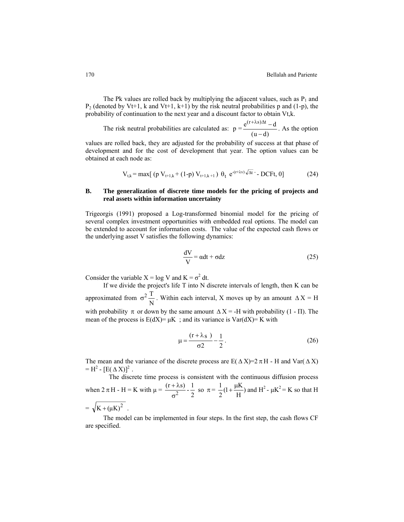The Pk values are rolled back by multiplying the adjacent values, such as  $P_1$  and  $P_2$  (denoted by Vt+1, k and Vt+1, k+1) by the risk neutral probabilities p and (1-p), the probability of continuation to the next year and a discount factor to obtain Vt,k.

The risk neutral probabilities are calculated as:  $p = \frac{d}{du} (u-d)$  $e^{(r+\lambda s)\Delta t}-d$ −  $\frac{+ \lambda s \Delta t - d}{s}$ . As the option

values are rolled back, they are adjusted for the probability of success at that phase of development and for the cost of development that year. The option values can be obtained at each node as:

$$
V_{t,k} = \max[ (p V_{t+1,k} + (1-p) V_{t+1,k+1}) \theta_t e^{-(r+\lambda v)\sqrt{\Delta t}} - DCFt, 0]
$$
 (24)

#### **B. The generalization of discrete time models for the pricing of projects and real assets within information uncertainty**

Trigeorgis (1991) proposed a Log-transformed binomial model for the pricing of several complex investment opportunities with embedded real options. The model can be extended to account for information costs. The value of the expected cash flows or the underlying asset V satisfies the following dynamics:

$$
\frac{dV}{V} = \alpha dt + \sigma dz
$$
 (25)

Consider the variable  $X = \log V$  and  $K = \sigma^2$  dt.

If we divide the project's life T into N discrete intervals of length, then K can be approximated from  $\sigma^2 \frac{T}{N}$ . Within each interval, X moves up by an amount  $\Delta X = H$ with probability  $\pi$  or down by the same amount  $\Delta X = -H$  with probability (1 -  $\Pi$ ). The mean of the process is  $E(dX) = \mu K$ ; and its variance is  $Var(dX) = K$  with

$$
\mu = \frac{(\mathbf{r} + \lambda \mathbf{s})}{\sigma^2} - \frac{1}{2}.
$$
 (26)

The mean and the variance of the discrete process are  $E(\Delta X)=2 \pi H$  - H and Var( $\Delta X$ )  $= H^2 - [E(\Delta X)]^2$ .

 The discrete time process is consistent with the continuous diffusion process when  $2 \pi H - H = K$  with  $\mu = \frac{(r + \lambda s)}{r^2}$ σ  $\frac{+\lambda s}{\sigma^2}$ - $\frac{1}{2}$  $\frac{1}{2}$  so  $\pi = \frac{1}{2}(1 + \frac{\mu K}{H})$  and  $H^2$  -  $\mu K^2 = K$  so that H  $=\sqrt{K + (\mu K)^2}$ .

The model can be implemented in four steps. In the first step, the cash flows CF are specified.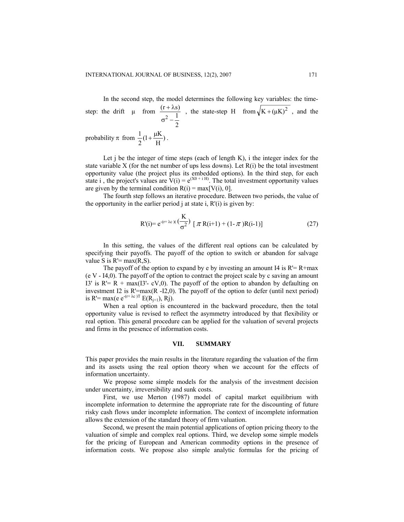In the second step, the model determines the following key variables: the timestep: the drift μ from 2 1  $(r + \lambda s)$  $\sigma^2$  –  $\frac{+ \lambda s}{l}$ , the state-step H from  $\sqrt{K + (\mu K)^2}$ , and the probability  $\pi$  from  $\frac{1}{2}(1 + \frac{\mu K}{H})$ .

Let  $\mathbf i$  be the integer of time steps (each of length K), i the integer index for the state variable X (for the net number of ups less downs). Let  $R(i)$  be the total investment opportunity value (the project plus its embedded options). In the third step, for each state i, the project's values are  $V(i) = e^{(X0 + iH)}$ . The total investment opportunity values are given by the terminal condition  $R(i) = max[V(i), 0]$ .

The fourth step follows an iterative procedure. Between two periods, the value of the opportunity in the earlier period  $j$  at state  $i$ ,  $R'(i)$  is given by:

$$
R'(i) = e^{-(r + \lambda c)(\frac{K}{\sigma^2})} [\pi R(i+1) + (1 - \pi)R(i-1)]
$$
 (27)

In this setting, the values of the different real options can be calculated by specifying their payoffs. The payoff of the option to switch or abandon for salvage value S is  $R' = max(R, S)$ .

The payoff of the option to expand by e by investing an amount I4 is  $R = R + max$ (e V - I4,0). The payoff of the option to contract the project scale by c saving an amount I3' is  $R' = R + max(13'-eV,0)$ . The payoff of the option to abandon by defaulting on investment I2 is  $R' = max(R - I2, 0)$ . The payoff of the option to defer (until next period) is R'= max(e e<sup>-(r+  $\lambda$ c)T E(R<sub>j+1</sub>), Rj).</sup>

When a real option is encountered in the backward procedure, then the total opportunity value is revised to reflect the asymmetry introduced by that flexibility or real option. This general procedure can be applied for the valuation of several projects and firms in the presence of information costs.

#### **VII. SUMMARY**

This paper provides the main results in the literature regarding the valuation of the firm and its assets using the real option theory when we account for the effects of information uncertainty.

We propose some simple models for the analysis of the investment decision under uncertainty, irreversibility and sunk costs.

First, we use Merton (1987) model of capital market equilibrium with incomplete information to determine the appropriate rate for the discounting of future risky cash flows under incomplete information. The context of incomplete information allows the extension of the standard theory of firm valuation.

Second, we present the main potential applications of option pricing theory to the valuation of simple and complex real options. Third, we develop some simple models for the pricing of European and American commodity options in the presence of information costs. We propose also simple analytic formulas for the pricing of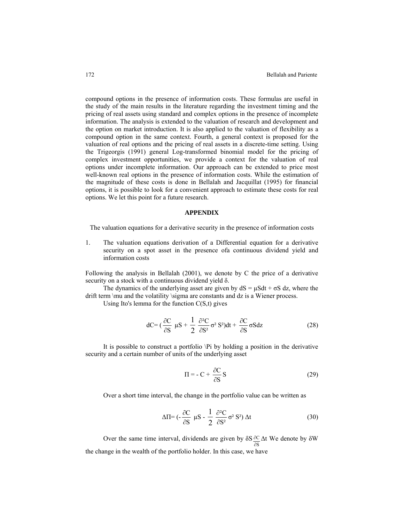compound options in the presence of information costs. These formulas are useful in the study of the main results in the literature regarding the investment timing and the pricing of real assets using standard and complex options in the presence of incomplete information. The analysis is extended to the valuation of research and development and the option on market introduction. It is also applied to the valuation of flexibility as a compound option in the same context. Fourth, a general context is proposed for the valuation of real options and the pricing of real assets in a discrete-time setting. Using the Trigeorgis (1991) general Log-transformed binomial model for the pricing of complex investment opportunities, we provide a context for the valuation of real options under incomplete information. Our approach can be extended to price most well-known real options in the presence of information costs. While the estimation of the magnitude of these costs is done in Bellalah and Jacquillat (1995) for financial options, it is possible to look for a convenient approach to estimate these costs for real options. We let this point for a future research.

#### **APPENDIX**

The valuation equations for a derivative security in the presence of information costs

1. The valuation equations derivation of a Differential equation for a derivative security on a spot asset in the presence ofa continuous dividend yield and information costs

Following the analysis in Bellalah (2001), we denote by C the price of a derivative security on a stock with a continuous dividend yield δ.

The dynamics of the underlying asset are given by  $dS = \mu S dt + \sigma S dz$ , where the drift term \mu and the volatility \sigma are constants and dz is a Wiener process.

Using Ito's lemma for the function  $C(S,t)$  gives

$$
dC = \left(\frac{\partial C}{\partial S} \mu S + \frac{1}{2} \frac{\partial^2 C}{\partial S^2} \sigma^2 S^2\right) dt + \frac{\partial C}{\partial S} \sigma S dz \tag{28}
$$

It is possible to construct a portfolio \Pi by holding a position in the derivative security and a certain number of units of the underlying asset

$$
\Pi = -C + \frac{\partial C}{\partial S} S \tag{29}
$$

Over a short time interval, the change in the portfolio value can be written as

$$
\Delta \Pi = \left( -\frac{\partial C}{\partial S} \mu S - \frac{1}{2} \frac{\partial^2 C}{\partial S^2} \sigma^2 S^2 \right) \Delta t \tag{30}
$$

Over the same time interval, dividends are given by  $\delta S \frac{\partial C}{\partial S}$ C  $\frac{\partial C}{\partial S}$  Δt We denote by δW the change in the wealth of the portfolio holder. In this case, we have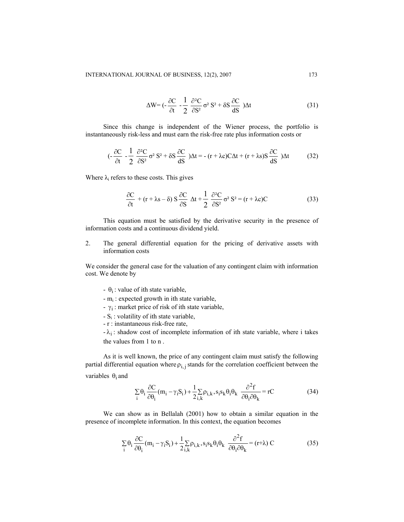$$
\Delta W = \left(-\frac{\partial C}{\partial t} - \frac{1}{2} \frac{\partial^2 C}{\partial S^2} \sigma^2 S^2 + \delta S \frac{\partial C}{dS} \right) \Delta t \tag{31}
$$

Since this change is independent of the Wiener process, the portfolio is instantaneously risk-less and must earn the risk-free rate plus information costs or

$$
(-\frac{\partial C}{\partial t} - \frac{1}{2} \frac{\partial^2 C}{\partial S^2} \sigma^2 S^2 + \delta S \frac{\partial C}{dS} )\Delta t = -(r + \lambda c)C\Delta t + (r + \lambda s)S \frac{\partial C}{dS} )\Delta t
$$
 (32)

Where  $\lambda_i$  refers to these costs. This gives

$$
\frac{\partial C}{\partial t} + (r + \lambda s - \delta) S \frac{\partial C}{\partial S} \Delta t + \frac{1}{2} \frac{\partial^2 C}{\partial S^2} \sigma^2 S^2 = (r + \lambda c) C
$$
 (33)

This equation must be satisfied by the derivative security in the presence of information costs and a continuous dividend yield.

2. The general differential equation for the pricing of derivative assets with information costs

We consider the general case for the valuation of any contingent claim with information cost. We denote by

- $\theta_i$ : value of ith state variable,
- $-$  m<sub>i</sub>: expected growth in ith state variable,
- $\gamma_i$ : market price of risk of ith state variable,
- $-S<sub>i</sub>$ : volatility of ith state variable,
- r : instantaneous risk-free rate,

 $-\lambda_i$ : shadow cost of incomplete information of ith state variable, where i takes the values from 1 to n .

As it is well known, the price of any contingent claim must satisfy the following partial differential equation where  $\rho_{i,j}$  stands for the correlation coefficient between the variables  $\theta_i$  and

$$
\sum_{i} \theta_{i} \frac{\partial C}{\partial \theta_{i}} (m_{i} - \gamma_{i} S_{i}) + \frac{1}{2} \sum_{i,k} \rho_{i,k}, s_{i} s_{k} \theta_{i} \theta_{k} \frac{\partial^{2} f}{\partial \theta_{i} \partial \theta_{k}} = rC
$$
 (34)

We can show as in Bellalah (2001) how to obtain a similar equation in the presence of incomplete information. In this context, the equation becomes

$$
\sum_{i} \theta_{i} \frac{\partial C}{\partial \theta_{i}} (m_{i} - \gamma_{i} S_{i}) + \frac{1}{2} \sum_{i,k} \rho_{i,k}, s_{i} s_{k} \theta_{i} \theta_{k} \frac{\partial^{2} f}{\partial \theta_{i} \partial \theta_{k}} = (r + \lambda) C
$$
 (35)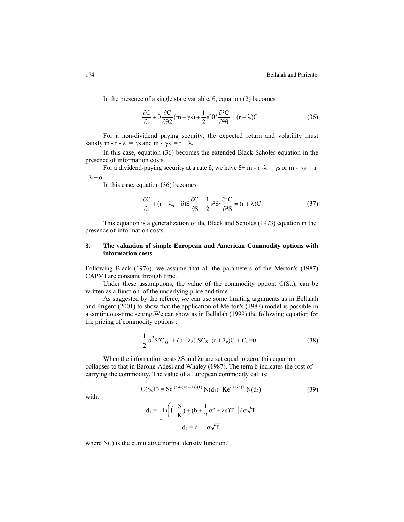In the presence of a single state variable,  $θ$ , equation (2) becomes

$$
\frac{\partial C}{\partial t} + \theta \frac{\partial C}{\partial \theta^2} (m - \gamma s) + \frac{1}{2} s^2 \theta^2 \frac{\partial^2 C}{\partial^2 \theta} = (r + \lambda) C
$$
 (36)

For a non-dividend paying security, the expected return and volatility must satisfy m - r -  $\lambda = \gamma s$  and m -  $\gamma s = r + \lambda$ .

In this case, equation (36) becomes the extended Black-Scholes equation in the presence of information costs.

For a dividend-paying security at a rate  $\delta$ , we have  $\delta$ + m - r - $\lambda$  = γs or m - γs = r  $+\lambda - \delta$ .

In this case, equation (36) becomes

$$
\frac{\partial C}{\partial t} + (r + \lambda_s - \delta)S \frac{\partial C}{\partial S} + \frac{1}{2}s^2 S^2 \frac{\partial^2 C}{\partial^2 S} = (r + \lambda)C \tag{37}
$$

This equation is a generalization of the Black and Scholes (1973) equation in the presence of information costs.

## **3. The valuation of simple European and American Commodity options with information costs**

Following Black (1976), we assume that all the parameters of the Merton's (1987) CAPMI are constant through time.

Under these assumptions, the value of the commodity option,  $C(S,t)$ , can be written as a function of the underlying price and time.

As suggested by the referee, we can use some limiting arguments as in Bellalah and Prigent (2001) to show that the application of Merton's (1987) model is possible in a continuous-time setting.We can show as in Bellalah (1999) the following equation for the pricing of commodity options :

$$
\frac{1}{2}\sigma^2 S^2 C_{ss} + (b + \lambda_S) SC_S - (r + \lambda_c)C + C_t = 0
$$
\n(38)

When the information costs  $\lambda S$  and  $\lambda c$  are set equal to zero, this equation collapses to that in Barone-Adesi and Whaley (1987). The term b indicates the cost of carrying the commodity. The value of a European commodity call is:

$$
C(S,T) = Se^{((b-r-(\lambda c - \lambda s))T)} N(d_1) - Ke^{-(r+\lambda c)T} N(d_2)
$$
\n(39)

with:

$$
d_1 = \left[ ln \left( \left( \frac{S}{K} \right) + \left( b + \frac{1}{2} \sigma^2 + \lambda s \right) T \right) / \sigma \sqrt{T} \right]
$$
  

$$
d_2 = d_1 - \sigma \sqrt{T}
$$

where N(.) is the cumulative normal density function.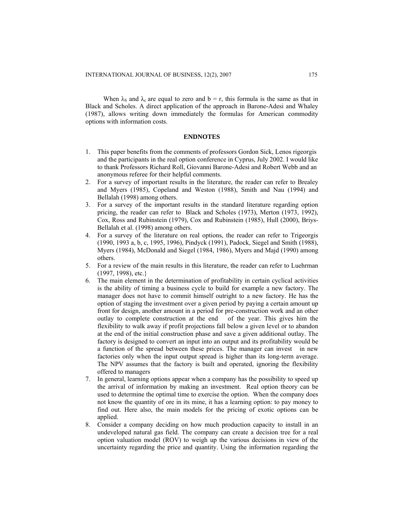When  $\lambda_s$  and  $\lambda_c$  are equal to zero and  $b = r$ , this formula is the same as that in Black and Scholes. A direct application of the approach in Barone-Adesi and Whaley (1987), allows writing down immediately the formulas for American commodity options with information costs.

#### **ENDNOTES**

- 1. This paper benefits from the comments of professors Gordon Sick, Lenos rigeorgis and the participants in the real option conference in Cyprus, July 2002. I would like to thank Professors Richard Roll, Giovanni Barone-Adesi and Robert Webb and an anonymous referee for their helpful comments.
- 2. For a survey of important results in the literature, the reader can refer to Brealey and Myers (1985), Copeland and Weston (1988), Smith and Nau (1994) and Bellalah (1998) among others.
- 3. For a survey of the important results in the standard literature regarding option pricing, the reader can refer to Black and Scholes (1973), Merton (1973, 1992), Cox, Ross and Rubinstein (1979), Cox and Rubinstein (1985), Hull (2000), Briys-Bellalah et al. (1998) among others.
- 4. For a survey of the literature on real options, the reader can refer to Trigeorgis (1990, 1993 a, b, c, 1995, 1996), Pindyck (1991), Padock, Siegel and Smith (1988), Myers (1984), McDonald and Siegel (1984, 1986), Myers and Majd (1990) among others.
- 5. For a review of the main results in this literature, the reader can refer to Luehrman (1997, 1998), etc.}
- 6. The main element in the determination of profitability in certain cyclical activities is the ability of timing a business cycle to build for example a new factory. The manager does not have to commit himself outright to a new factory. He has the option of staging the investment over a given period by paying a certain amount up front for design, another amount in a period for pre-construction work and an other outlay to complete construction at the end of the year. This gives him the flexibility to walk away if profit projections fall below a given level or to abandon at the end of the initial construction phase and save a given additional outlay. The factory is designed to convert an input into an output and its profitability would be a function of the spread between these prices. The manager can invest in new factories only when the input output spread is higher than its long-term average. The NPV assumes that the factory is built and operated, ignoring the flexibility offered to managers
- 7. In general, learning options appear when a company has the possibility to speed up the arrival of information by making an investment. Real option theory can be used to determine the optimal time to exercise the option. When the company does not know the quantity of ore in its mine, it has a learning option: to pay money to find out. Here also, the main models for the pricing of exotic options can be applied.
- 8. Consider a company deciding on how much production capacity to install in an undeveloped natural gas field. The company can create a decision tree for a real option valuation model (ROV) to weigh up the various decisions in view of the uncertainty regarding the price and quantity. Using the information regarding the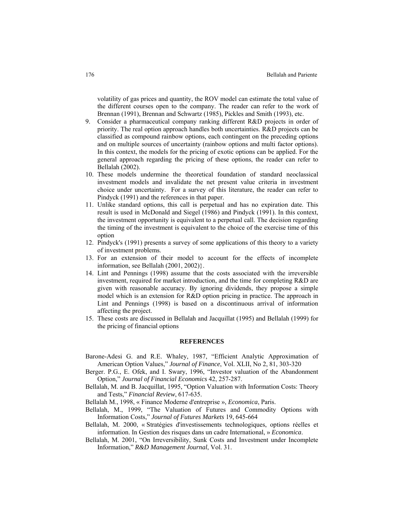volatility of gas prices and quantity, the ROV model can estimate the total value of the different courses open to the company. The reader can refer to the work of Brennan (1991), Brennan and Schwartz (1985), Pickles and Smith (1993), etc.

- 9. Consider a pharmaceutical company ranking different R&D projects in order of priority. The real option approach handles both uncertainties. R&D projects can be classified as compound rainbow options, each contingent on the preceding options and on multiple sources of uncertainty (rainbow options and multi factor options). In this context, the models for the pricing of exotic options can be applied. For the general approach regarding the pricing of these options, the reader can refer to Bellalah (2002).
- 10. These models undermine the theoretical foundation of standard neoclassical investment models and invalidate the net present value criteria in investment choice under uncertainty. For a survey of this literature, the reader can refer to Pindyck (1991) and the references in that paper.
- 11. Unlike standard options, this call is perpetual and has no expiration date. This result is used in McDonald and Siegel (1986) and Pindyck (1991). In this context, the investment opportunity is equivalent to a perpetual call. The decision regarding the timing of the investment is equivalent to the choice of the exercise time of this option
- 12. Pindyck's (1991) presents a survey of some applications of this theory to a variety of investment problems.
- 13. For an extension of their model to account for the effects of incomplete information, see Bellalah (2001, 2002)}.
- 14. Lint and Pennings (1998) assume that the costs associated with the irreversible investment, required for market introduction, and the time for completing R&D are given with reasonable accuracy. By ignoring dividends, they propose a simple model which is an extension for R&D option pricing in practice. The approach in Lint and Pennings (1998) is based on a discontinuous arrival of information affecting the project.
- 15. These costs are discussed in Bellalah and Jacquillat (1995) and Bellalah (1999) for the pricing of financial options

#### **REFERENCES**

- Barone-Adesi G. and R.E. Whaley, 1987, "Efficient Analytic Approximation of American Option Values," *Journal of Finance*, Vol. XLII, No 2, 81, 303-320
- Berger. P.G., E. Ofek, and I. Swary, 1996, "Investor valuation of the Abandonment Option," *Journal of Financial Economics* 42, 257-287.
- Bellalah, M. and B. Jacquillat, 1995, "Option Valuation with Information Costs: Theory and Tests," *Financial Review*, 617-635.
- Bellalah M., 1998, « Finance Moderne d'entreprise », *Economica*, Paris.
- Bellalah, M., 1999, "The Valuation of Futures and Commodity Options with Information Costs," *Journal of Futures Markets* 19, 645-664
- Bellalah, M. 2000, « Stratégies d'investissements technologiques, options réelles et information. In Gestion des risques dans un cadre International, » *Economica*.
- Bellalah, M. 2001, "On Irreversibility, Sunk Costs and Investment under Incomplete Information," *R&D Management Journal*, Vol. 31.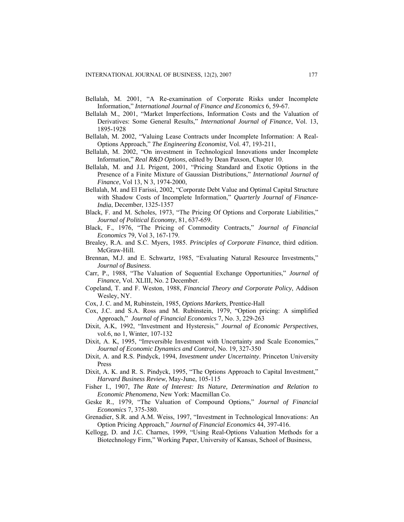- Bellalah, M. 2001, "A Re-examination of Corporate Risks under Incomplete Information," *International Journal of Finance and Economics* 6, 59-67.
- Bellalah M., 2001, "Market Imperfections, Information Costs and the Valuation of Derivatives: Some General Results," *International Journal of Finance*, Vol. 13, 1895-1928
- Bellalah, M. 2002, "Valuing Lease Contracts under Incomplete Information: A Real-Options Approach," *The Engineering Economist*, Vol. 47, 193-211,
- Bellalah, M. 2002, "On investment in Technological Innovations under Incomplete Information," *Real R&D Options*, edited by Dean Paxson, Chapter 10.
- Bellalah, M. and J.L Prigent, 2001, "Pricing Standard and Exotic Options in the Presence of a Finite Mixture of Gaussian Distributions," *International Journal of Finance*, Vol 13, N 3, 1974-2000,
- Bellalah, M. and El Farissi, 2002, "Corporate Debt Value and Optimal Capital Structure with Shadow Costs of Incomplete Information," *Quarterly Journal of Finance-India*, December, 1325-1357
- Black, F. and M. Scholes, 1973, "The Pricing Of Options and Corporate Liabilities," *Journal of Political Economy*, 81, 637-659.
- Black, F., 1976, "The Pricing of Commodity Contracts," *Journal of Financial Economics* 79, Vol 3, 167-179.
- Brealey, R.A. and S.C. Myers, 1985. *Principles of Corporate Finance*, third edition. McGraw-Hill.
- Brennan, M.J. and E. Schwartz, 1985, "Evaluating Natural Resource Investments," *Journal of Business*.
- Carr, P., 1988, "The Valuation of Sequential Exchange Opportunities," *Journal of Finance*, Vol. XLIII, No. 2 December.
- Copeland, T. and F. Weston, 1988, *Financial Theory and Corporate Policy*, Addison Wesley, NY.
- Cox, J. C. and M, Rubinstein, 1985, *Options Markets*, Prentice-Hall
- Cox, J.C. and S.A. Ross and M. Rubinstein, 1979, "Option pricing: A simplified Approach," *Journal of Financial Economics* 7, No. 3, 229-263
- Dixit, A.K, 1992, "Investment and Hysteresis," *Journal of Economic Perspectives*, vol.6, no 1, Winter, 107-132
- Dixit, A. K, 1995, "Irreversible Investment with Uncertainty and Scale Economies," *Journal of Economic Dynamics and Control*, No. 19, 327-350
- Dixit, A. and R.S. Pindyck, 1994, *Investment under Uncertainty*. Princeton University Press
- Dixit, A. K. and R. S. Pindyck, 1995, "The Options Approach to Capital Investment," *Harvard Business Review*, May-June, 105-115
- Fisher I., 1907, *The Rate of Interest: Its Nature, Determination and Relation to Economic Phenomena*, New York: Macmillan Co.
- Geske R., 1979, "The Valuation of Compound Options," *Journal of Financial Economics* 7, 375-380.
- Grenadier, S.R. and A.M. Weiss, 1997, "Investment in Technological Innovations: An Option Pricing Approach," *Journal of Financial Economics* 44, 397-416.
- Kellogg, D. and J.C. Charnes, 1999, "Using Real-Options Valuation Methods for a Biotechnology Firm," Working Paper, University of Kansas, School of Business,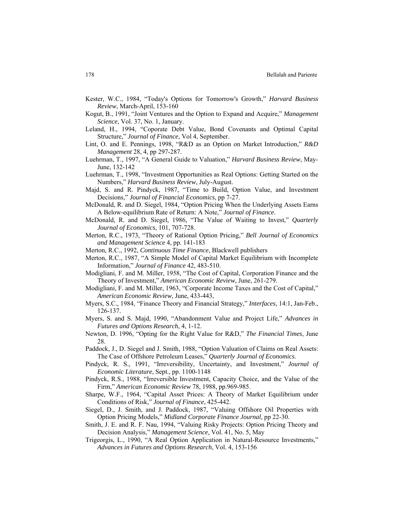- Kester, W.C., 1984, "Today's Options for Tomorrow's Growth," *Harvard Business Review*, March-April, 153-160
- Kogut, B., 1991, "Joint Ventures and the Option to Expand and Acquire," *Management Science*, Vol. 37, No. 1, January.
- Leland, H., 1994, "Coporate Debt Value, Bond Covenants and Optimal Capital Structure," *Journal of Finance*, Vol 4, September.
- Lint, O. and E. Pennings, 1998, "R&D as an Option on Market Introduction," *R&D Management* 28, 4, pp 297-287.
- Luehrman, T., 1997, "A General Guide to Valuation," *Harvard Business Review*, May-June, 132-142
- Luehrman, T., 1998, "Investment Opportunities as Real Options: Getting Started on the Numbers," *Harvard Business Review*, July-August.
- Majd, S. and R. Pindyck, 1987, "Time to Build, Option Value, and Investment Decisions," *Journal of Financial Economics*, pp 7-27.
- McDonald, R. and D. Siegel, 1984, "Option Pricing When the Underlying Assets Earns A Below-equilibrium Rate of Return: A Note," *Journal of Finance*.
- McDonald, R. and D. Siegel, 1986, "The Value of Waiting to Invest," *Quarterly Journal of Economics*, 101, 707-728.
- Merton, R.C., 1973, "Theory of Rational Option Pricing," *Bell Journal of Economics and Management Science* 4, pp. 141-183
- Merton, R.C., 1992, *Continuous Time Finance*, Blackwell publishers
- Merton, R.C., 1987, "A Simple Model of Capital Market Equilibrium with Incomplete Information," *Journal of Finance* 42, 483-510.
- Modigliani, F. and M. Miller, 1958, "The Cost of Capital, Corporation Finance and the Theory of Investment," *American Economic Review*, June, 261-279.
- Modigliani, F. and M. Miller, 1963, "Corporate Income Taxes and the Cost of Capital," *American Economic Review*, June, 433-443,
- Myers, S.C., 1984, "Finance Theory and Financial Strategy," *Interfaces*, 14:1, Jan-Feb., 126-137.
- Myers, S. and S. Majd, 1990, "Abandonment Value and Project Life," *Advances in Futures and Options Research*, 4, 1-12.
- Newton, D. 1996, "Opting for the Right Value for R&D," *The Financial Times*, June 28.
- Paddock, J., D. Siegel and J. Smith, 1988, "Option Valuation of Claims on Real Assets: The Case of Offshore Petroleum Leases," *Quarterly Journal of Economics*.
- Pindyck, R. S., 1991, "Irreversibility, Uncertainty, and Investment," *Journal of Economic Literature*, Sept., pp. 1100-1148
- Pindyck, R.S., 1988, "Irreversible Investment, Capacity Choice, and the Value of the Firm," *American Economic Review* 78, 1988, pp.969-985.
- Sharpe, W.F., 1964, "Capital Asset Prices: A Theory of Market Equilibrium under Conditions of Risk," *Journal of Finance*, 425-442.
- Siegel, D., J. Smith, and J. Paddock, 1987, "Valuing Offshore Oil Properties with Option Pricing Models," *Midland Corporate Finance Journal*, pp 22-30.
- Smith, J. E. and R. F. Nau, 1994, "Valuing Risky Projects: Option Pricing Theory and Decision Analysis," *Management Science*, Vol. 41, No. 5, May
- Trigeorgis, L., 1990, "A Real Option Application in Natural-Resource Investments," *Advances in Futures and Options Research*, Vol. 4, 153-156